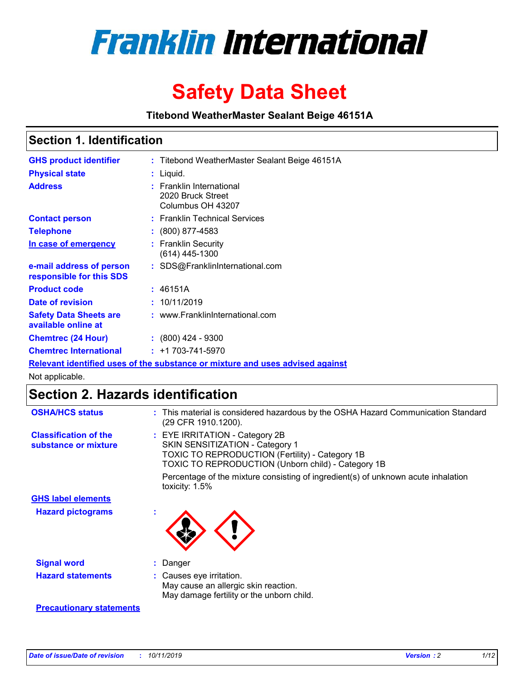

# **Safety Data Sheet**

**Titebond WeatherMaster Sealant Beige 46151A**

### **Section 1. Identification**

| <b>GHS product identifier</b>                        | : Titebond WeatherMaster Sealant Beige 46151A                                 |
|------------------------------------------------------|-------------------------------------------------------------------------------|
| <b>Physical state</b>                                | : Liquid.                                                                     |
| <b>Address</b>                                       | : Franklin International<br>2020 Bruck Street<br>Columbus OH 43207            |
| <b>Contact person</b>                                | : Franklin Technical Services                                                 |
| <b>Telephone</b>                                     | $\colon$ (800) 877-4583                                                       |
| In case of emergency                                 | : Franklin Security<br>(614) 445-1300                                         |
| e-mail address of person<br>responsible for this SDS | : SDS@FranklinInternational.com                                               |
| <b>Product code</b>                                  | : 46151A                                                                      |
| Date of revision                                     | : 10/11/2019                                                                  |
| <b>Safety Data Sheets are</b><br>available online at | : www.FranklinInternational.com                                               |
| <b>Chemtrec (24 Hour)</b>                            | $\div$ (800) 424 - 9300                                                       |
| <b>Chemtrec International</b>                        | $: +1703 - 741 - 5970$                                                        |
|                                                      | Relevant identified uses of the substance or mixture and uses advised against |

Not applicable.

## **Section 2. Hazards identification**

| <b>OSHA/HCS status</b>                               | : This material is considered hazardous by the OSHA Hazard Communication Standard<br>(29 CFR 1910.1200).                                                                                 |
|------------------------------------------------------|------------------------------------------------------------------------------------------------------------------------------------------------------------------------------------------|
| <b>Classification of the</b><br>substance or mixture | : EYE IRRITATION - Category 2B<br>SKIN SENSITIZATION - Category 1<br><b>TOXIC TO REPRODUCTION (Fertility) - Category 1B</b><br><b>TOXIC TO REPRODUCTION (Unborn child) - Category 1B</b> |
|                                                      | Percentage of the mixture consisting of ingredient(s) of unknown acute inhalation<br>toxicity: $1.5\%$                                                                                   |
| <b>GHS label elements</b>                            |                                                                                                                                                                                          |
| <b>Hazard pictograms</b>                             |                                                                                                                                                                                          |
| <b>Signal word</b>                                   | : Danger                                                                                                                                                                                 |
| <b>Hazard statements</b>                             | : Causes eye irritation.<br>May cause an allergic skin reaction.<br>May damage fertility or the unborn child.                                                                            |
| <b>Precautionary statements</b>                      |                                                                                                                                                                                          |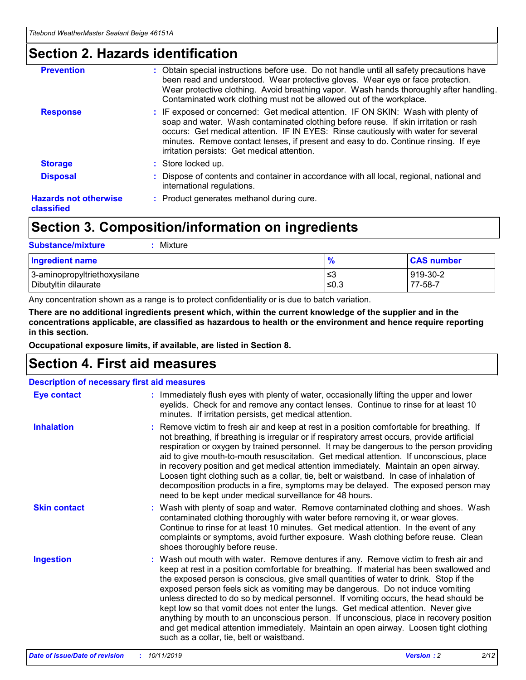### **Section 2. Hazards identification**

| <b>Prevention</b>                          | : Obtain special instructions before use. Do not handle until all safety precautions have<br>been read and understood. Wear protective gloves. Wear eye or face protection.<br>Wear protective clothing. Avoid breathing vapor. Wash hands thoroughly after handling.<br>Contaminated work clothing must not be allowed out of the workplace.                                                        |
|--------------------------------------------|------------------------------------------------------------------------------------------------------------------------------------------------------------------------------------------------------------------------------------------------------------------------------------------------------------------------------------------------------------------------------------------------------|
| <b>Response</b>                            | : IF exposed or concerned: Get medical attention. IF ON SKIN: Wash with plenty of<br>soap and water. Wash contaminated clothing before reuse. If skin irritation or rash<br>occurs: Get medical attention. IF IN EYES: Rinse cautiously with water for several<br>minutes. Remove contact lenses, if present and easy to do. Continue rinsing. If eye<br>irritation persists: Get medical attention. |
| <b>Storage</b>                             | : Store locked up.                                                                                                                                                                                                                                                                                                                                                                                   |
| <b>Disposal</b>                            | : Dispose of contents and container in accordance with all local, regional, national and<br>international regulations.                                                                                                                                                                                                                                                                               |
| <b>Hazards not otherwise</b><br>classified | : Product generates methanol during cure.                                                                                                                                                                                                                                                                                                                                                            |
|                                            |                                                                                                                                                                                                                                                                                                                                                                                                      |

### **Section 3. Composition/information on ingredients**

| <b>Substance/mixture</b><br>Mixture                  |               |                     |
|------------------------------------------------------|---------------|---------------------|
| <b>Ingredient name</b>                               | $\frac{9}{6}$ | <b>CAS number</b>   |
| 3-aminopropyltriethoxysilane<br>Dibutyltin dilaurate | ≤3<br>≤0.3    | 919-30-2<br>77-58-7 |

Any concentration shown as a range is to protect confidentiality or is due to batch variation.

**There are no additional ingredients present which, within the current knowledge of the supplier and in the concentrations applicable, are classified as hazardous to health or the environment and hence require reporting in this section.**

**Occupational exposure limits, if available, are listed in Section 8.**

### **Section 4. First aid measures**

| <b>Description of necessary first aid measures</b> |                                                                                                                                                                                                                                                                                                                                                                                                                                                                                                                                                                                                                                                                                                                                                                           |  |  |  |
|----------------------------------------------------|---------------------------------------------------------------------------------------------------------------------------------------------------------------------------------------------------------------------------------------------------------------------------------------------------------------------------------------------------------------------------------------------------------------------------------------------------------------------------------------------------------------------------------------------------------------------------------------------------------------------------------------------------------------------------------------------------------------------------------------------------------------------------|--|--|--|
| <b>Eye contact</b>                                 | : Immediately flush eyes with plenty of water, occasionally lifting the upper and lower<br>eyelids. Check for and remove any contact lenses. Continue to rinse for at least 10<br>minutes. If irritation persists, get medical attention.                                                                                                                                                                                                                                                                                                                                                                                                                                                                                                                                 |  |  |  |
| <b>Inhalation</b>                                  | : Remove victim to fresh air and keep at rest in a position comfortable for breathing. If<br>not breathing, if breathing is irregular or if respiratory arrest occurs, provide artificial<br>respiration or oxygen by trained personnel. It may be dangerous to the person providing<br>aid to give mouth-to-mouth resuscitation. Get medical attention. If unconscious, place<br>in recovery position and get medical attention immediately. Maintain an open airway.<br>Loosen tight clothing such as a collar, tie, belt or waistband. In case of inhalation of<br>decomposition products in a fire, symptoms may be delayed. The exposed person may<br>need to be kept under medical surveillance for 48 hours.                                                       |  |  |  |
| <b>Skin contact</b>                                | : Wash with plenty of soap and water. Remove contaminated clothing and shoes. Wash<br>contaminated clothing thoroughly with water before removing it, or wear gloves.<br>Continue to rinse for at least 10 minutes. Get medical attention. In the event of any<br>complaints or symptoms, avoid further exposure. Wash clothing before reuse. Clean<br>shoes thoroughly before reuse.                                                                                                                                                                                                                                                                                                                                                                                     |  |  |  |
| <b>Ingestion</b>                                   | : Wash out mouth with water. Remove dentures if any. Remove victim to fresh air and<br>keep at rest in a position comfortable for breathing. If material has been swallowed and<br>the exposed person is conscious, give small quantities of water to drink. Stop if the<br>exposed person feels sick as vomiting may be dangerous. Do not induce vomiting<br>unless directed to do so by medical personnel. If vomiting occurs, the head should be<br>kept low so that vomit does not enter the lungs. Get medical attention. Never give<br>anything by mouth to an unconscious person. If unconscious, place in recovery position<br>and get medical attention immediately. Maintain an open airway. Loosen tight clothing<br>such as a collar, tie, belt or waistband. |  |  |  |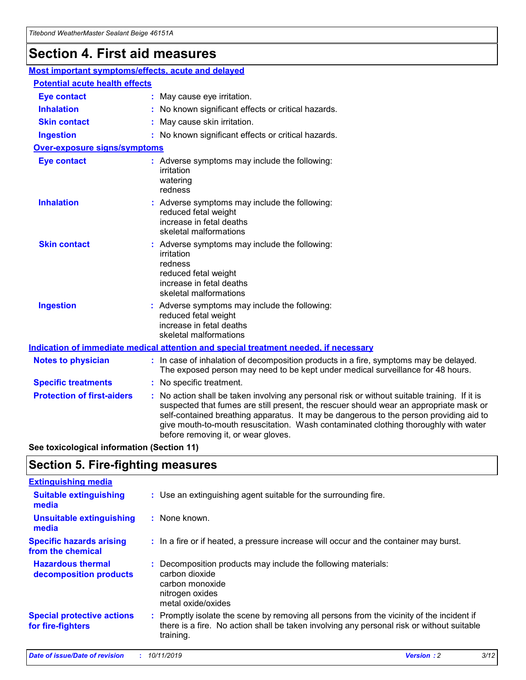## **Section 4. First aid measures**

| Most important symptoms/effects, acute and delayed |                                       |                                                                                                                                                                                                                                                                                                                                                                                                                 |  |  |  |
|----------------------------------------------------|---------------------------------------|-----------------------------------------------------------------------------------------------------------------------------------------------------------------------------------------------------------------------------------------------------------------------------------------------------------------------------------------------------------------------------------------------------------------|--|--|--|
|                                                    | <b>Potential acute health effects</b> |                                                                                                                                                                                                                                                                                                                                                                                                                 |  |  |  |
| <b>Eye contact</b>                                 |                                       | : May cause eye irritation.                                                                                                                                                                                                                                                                                                                                                                                     |  |  |  |
| <b>Inhalation</b>                                  |                                       | : No known significant effects or critical hazards.                                                                                                                                                                                                                                                                                                                                                             |  |  |  |
| <b>Skin contact</b>                                |                                       | : May cause skin irritation.                                                                                                                                                                                                                                                                                                                                                                                    |  |  |  |
| <b>Ingestion</b>                                   |                                       | : No known significant effects or critical hazards.                                                                                                                                                                                                                                                                                                                                                             |  |  |  |
| Over-exposure signs/symptoms                       |                                       |                                                                                                                                                                                                                                                                                                                                                                                                                 |  |  |  |
| <b>Eye contact</b>                                 |                                       | : Adverse symptoms may include the following:<br>irritation<br>watering<br>redness                                                                                                                                                                                                                                                                                                                              |  |  |  |
| <b>Inhalation</b>                                  |                                       | : Adverse symptoms may include the following:<br>reduced fetal weight<br>increase in fetal deaths<br>skeletal malformations                                                                                                                                                                                                                                                                                     |  |  |  |
| <b>Skin contact</b>                                |                                       | : Adverse symptoms may include the following:<br>irritation<br>redness<br>reduced fetal weight<br>increase in fetal deaths<br>skeletal malformations                                                                                                                                                                                                                                                            |  |  |  |
| <b>Ingestion</b>                                   |                                       | : Adverse symptoms may include the following:<br>reduced fetal weight<br>increase in fetal deaths<br>skeletal malformations                                                                                                                                                                                                                                                                                     |  |  |  |
|                                                    |                                       | <b>Indication of immediate medical attention and special treatment needed, if necessary</b>                                                                                                                                                                                                                                                                                                                     |  |  |  |
| <b>Notes to physician</b>                          |                                       | : In case of inhalation of decomposition products in a fire, symptoms may be delayed.<br>The exposed person may need to be kept under medical surveillance for 48 hours.                                                                                                                                                                                                                                        |  |  |  |
| <b>Specific treatments</b>                         |                                       | : No specific treatment.                                                                                                                                                                                                                                                                                                                                                                                        |  |  |  |
| <b>Protection of first-aiders</b>                  |                                       | : No action shall be taken involving any personal risk or without suitable training. If it is<br>suspected that fumes are still present, the rescuer should wear an appropriate mask or<br>self-contained breathing apparatus. It may be dangerous to the person providing aid to<br>give mouth-to-mouth resuscitation. Wash contaminated clothing thoroughly with water<br>before removing it, or wear gloves. |  |  |  |

**See toxicological information (Section 11)**

### **Section 5. Fire-fighting measures**

| <b>Extinguishing media</b>                             |                                                                                                                                                                                                     |
|--------------------------------------------------------|-----------------------------------------------------------------------------------------------------------------------------------------------------------------------------------------------------|
| <b>Suitable extinguishing</b><br>media                 | : Use an extinguishing agent suitable for the surrounding fire.                                                                                                                                     |
| <b>Unsuitable extinguishing</b><br>media               | : None known.                                                                                                                                                                                       |
| <b>Specific hazards arising</b><br>from the chemical   | : In a fire or if heated, a pressure increase will occur and the container may burst.                                                                                                               |
| <b>Hazardous thermal</b><br>decomposition products     | : Decomposition products may include the following materials:<br>carbon dioxide<br>carbon monoxide<br>nitrogen oxides<br>metal oxide/oxides                                                         |
| <b>Special protective actions</b><br>for fire-fighters | : Promptly isolate the scene by removing all persons from the vicinity of the incident if<br>there is a fire. No action shall be taken involving any personal risk or without suitable<br>training. |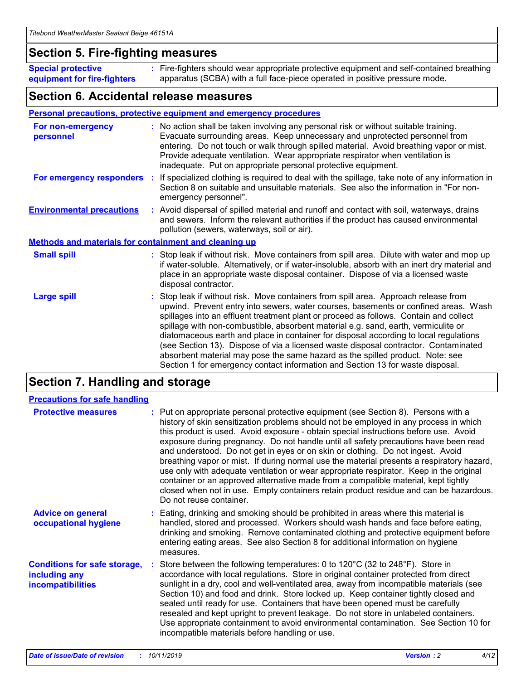### **Section 5. Fire-fighting measures**

**Special protective equipment for fire-fighters** Fire-fighters should wear appropriate protective equipment and self-contained breathing **:** apparatus (SCBA) with a full face-piece operated in positive pressure mode.

### **Section 6. Accidental release measures**

#### **Personal precautions, protective equipment and emergency procedures**

| For non-emergency<br>personnel                               | : No action shall be taken involving any personal risk or without suitable training.<br>Evacuate surrounding areas. Keep unnecessary and unprotected personnel from<br>entering. Do not touch or walk through spilled material. Avoid breathing vapor or mist.<br>Provide adequate ventilation. Wear appropriate respirator when ventilation is<br>inadequate. Put on appropriate personal protective equipment.                                                                                                                                                                                                                                                                                             |
|--------------------------------------------------------------|--------------------------------------------------------------------------------------------------------------------------------------------------------------------------------------------------------------------------------------------------------------------------------------------------------------------------------------------------------------------------------------------------------------------------------------------------------------------------------------------------------------------------------------------------------------------------------------------------------------------------------------------------------------------------------------------------------------|
|                                                              | For emergency responders : If specialized clothing is required to deal with the spillage, take note of any information in<br>Section 8 on suitable and unsuitable materials. See also the information in "For non-<br>emergency personnel".                                                                                                                                                                                                                                                                                                                                                                                                                                                                  |
| <b>Environmental precautions</b>                             | : Avoid dispersal of spilled material and runoff and contact with soil, waterways, drains<br>and sewers. Inform the relevant authorities if the product has caused environmental<br>pollution (sewers, waterways, soil or air).                                                                                                                                                                                                                                                                                                                                                                                                                                                                              |
| <b>Methods and materials for containment and cleaning up</b> |                                                                                                                                                                                                                                                                                                                                                                                                                                                                                                                                                                                                                                                                                                              |
| <b>Small spill</b>                                           | : Stop leak if without risk. Move containers from spill area. Dilute with water and mop up<br>if water-soluble. Alternatively, or if water-insoluble, absorb with an inert dry material and<br>place in an appropriate waste disposal container. Dispose of via a licensed waste<br>disposal contractor.                                                                                                                                                                                                                                                                                                                                                                                                     |
| <b>Large spill</b>                                           | : Stop leak if without risk. Move containers from spill area. Approach release from<br>upwind. Prevent entry into sewers, water courses, basements or confined areas. Wash<br>spillages into an effluent treatment plant or proceed as follows. Contain and collect<br>spillage with non-combustible, absorbent material e.g. sand, earth, vermiculite or<br>diatomaceous earth and place in container for disposal according to local regulations<br>(see Section 13). Dispose of via a licensed waste disposal contractor. Contaminated<br>absorbent material may pose the same hazard as the spilled product. Note: see<br>Section 1 for emergency contact information and Section 13 for waste disposal. |

### **Section 7. Handling and storage**

| <b>Precautions for safe handling</b>                                             |                                                                                                                                                                                                                                                                                                                                                                                                                                                                                                                                                                                                                                                                                                                                                                                                                                                  |
|----------------------------------------------------------------------------------|--------------------------------------------------------------------------------------------------------------------------------------------------------------------------------------------------------------------------------------------------------------------------------------------------------------------------------------------------------------------------------------------------------------------------------------------------------------------------------------------------------------------------------------------------------------------------------------------------------------------------------------------------------------------------------------------------------------------------------------------------------------------------------------------------------------------------------------------------|
| <b>Protective measures</b>                                                       | : Put on appropriate personal protective equipment (see Section 8). Persons with a<br>history of skin sensitization problems should not be employed in any process in which<br>this product is used. Avoid exposure - obtain special instructions before use. Avoid<br>exposure during pregnancy. Do not handle until all safety precautions have been read<br>and understood. Do not get in eyes or on skin or clothing. Do not ingest. Avoid<br>breathing vapor or mist. If during normal use the material presents a respiratory hazard,<br>use only with adequate ventilation or wear appropriate respirator. Keep in the original<br>container or an approved alternative made from a compatible material, kept tightly<br>closed when not in use. Empty containers retain product residue and can be hazardous.<br>Do not reuse container. |
| <b>Advice on general</b><br>occupational hygiene                                 | : Eating, drinking and smoking should be prohibited in areas where this material is<br>handled, stored and processed. Workers should wash hands and face before eating,<br>drinking and smoking. Remove contaminated clothing and protective equipment before<br>entering eating areas. See also Section 8 for additional information on hygiene<br>measures.                                                                                                                                                                                                                                                                                                                                                                                                                                                                                    |
| <b>Conditions for safe storage,</b><br>including any<br><b>incompatibilities</b> | : Store between the following temperatures: 0 to 120 $\degree$ C (32 to 248 $\degree$ F). Store in<br>accordance with local regulations. Store in original container protected from direct<br>sunlight in a dry, cool and well-ventilated area, away from incompatible materials (see<br>Section 10) and food and drink. Store locked up. Keep container tightly closed and<br>sealed until ready for use. Containers that have been opened must be carefully<br>resealed and kept upright to prevent leakage. Do not store in unlabeled containers.<br>Use appropriate containment to avoid environmental contamination. See Section 10 for<br>incompatible materials before handling or use.                                                                                                                                                   |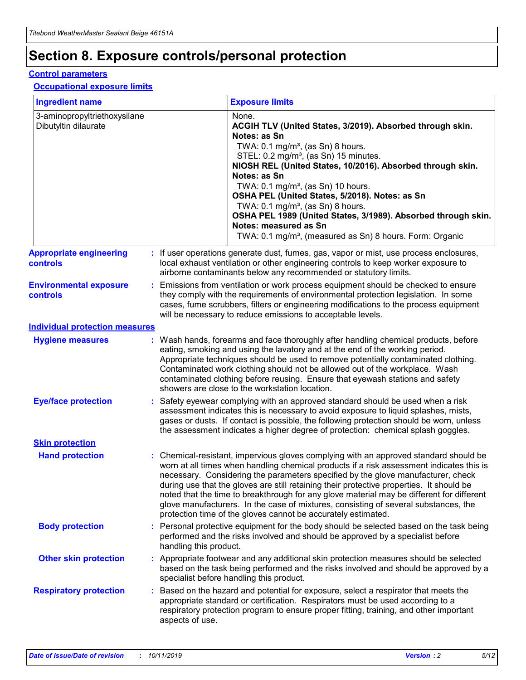## **Section 8. Exposure controls/personal protection**

#### **Control parameters**

#### **Occupational exposure limits**

| <b>Ingredient name</b>                               |    |                                          | <b>Exposure limits</b>                                                                                                                                                                                                                                                                                                                                                                                                                                                                                                                                                                                                 |
|------------------------------------------------------|----|------------------------------------------|------------------------------------------------------------------------------------------------------------------------------------------------------------------------------------------------------------------------------------------------------------------------------------------------------------------------------------------------------------------------------------------------------------------------------------------------------------------------------------------------------------------------------------------------------------------------------------------------------------------------|
| 3-aminopropyltriethoxysilane<br>Dibutyltin dilaurate |    |                                          | None.<br>ACGIH TLV (United States, 3/2019). Absorbed through skin.<br>Notes: as Sn<br>TWA: 0.1 mg/m <sup>3</sup> , (as Sn) 8 hours.<br>STEL: 0.2 mg/m <sup>3</sup> , (as Sn) 15 minutes.<br>NIOSH REL (United States, 10/2016). Absorbed through skin.<br>Notes: as Sn<br>TWA: 0.1 mg/m <sup>3</sup> , (as Sn) 10 hours.<br>OSHA PEL (United States, 5/2018). Notes: as Sn<br>TWA: $0.1 \text{ mg/m}^3$ , (as Sn) 8 hours.<br>OSHA PEL 1989 (United States, 3/1989). Absorbed through skin.<br>Notes: measured as Sn<br>TWA: 0.1 mg/m <sup>3</sup> , (measured as Sn) 8 hours. Form: Organic                           |
| <b>Appropriate engineering</b><br>controls           |    |                                          | : If user operations generate dust, fumes, gas, vapor or mist, use process enclosures,<br>local exhaust ventilation or other engineering controls to keep worker exposure to<br>airborne contaminants below any recommended or statutory limits.                                                                                                                                                                                                                                                                                                                                                                       |
| <b>Environmental exposure</b><br><b>controls</b>     |    |                                          | Emissions from ventilation or work process equipment should be checked to ensure<br>they comply with the requirements of environmental protection legislation. In some<br>cases, fume scrubbers, filters or engineering modifications to the process equipment<br>will be necessary to reduce emissions to acceptable levels.                                                                                                                                                                                                                                                                                          |
| <b>Individual protection measures</b>                |    |                                          |                                                                                                                                                                                                                                                                                                                                                                                                                                                                                                                                                                                                                        |
| <b>Hygiene measures</b>                              |    |                                          | : Wash hands, forearms and face thoroughly after handling chemical products, before<br>eating, smoking and using the lavatory and at the end of the working period.<br>Appropriate techniques should be used to remove potentially contaminated clothing.<br>Contaminated work clothing should not be allowed out of the workplace. Wash<br>contaminated clothing before reusing. Ensure that eyewash stations and safety<br>showers are close to the workstation location.                                                                                                                                            |
| <b>Eye/face protection</b>                           |    |                                          | : Safety eyewear complying with an approved standard should be used when a risk<br>assessment indicates this is necessary to avoid exposure to liquid splashes, mists,<br>gases or dusts. If contact is possible, the following protection should be worn, unless<br>the assessment indicates a higher degree of protection: chemical splash goggles.                                                                                                                                                                                                                                                                  |
| <b>Skin protection</b>                               |    |                                          |                                                                                                                                                                                                                                                                                                                                                                                                                                                                                                                                                                                                                        |
| <b>Hand protection</b>                               |    |                                          | : Chemical-resistant, impervious gloves complying with an approved standard should be<br>worn at all times when handling chemical products if a risk assessment indicates this is<br>necessary. Considering the parameters specified by the glove manufacturer, check<br>during use that the gloves are still retaining their protective properties. It should be<br>noted that the time to breakthrough for any glove material may be different for different<br>glove manufacturers. In the case of mixtures, consisting of several substances, the<br>protection time of the gloves cannot be accurately estimated. |
| <b>Body protection</b>                               |    | handling this product.                   | Personal protective equipment for the body should be selected based on the task being<br>performed and the risks involved and should be approved by a specialist before                                                                                                                                                                                                                                                                                                                                                                                                                                                |
| <b>Other skin protection</b>                         |    | specialist before handling this product. | : Appropriate footwear and any additional skin protection measures should be selected<br>based on the task being performed and the risks involved and should be approved by a                                                                                                                                                                                                                                                                                                                                                                                                                                          |
| <b>Respiratory protection</b>                        | ÷. | aspects of use.                          | Based on the hazard and potential for exposure, select a respirator that meets the<br>appropriate standard or certification. Respirators must be used according to a<br>respiratory protection program to ensure proper fitting, training, and other important                                                                                                                                                                                                                                                                                                                                                         |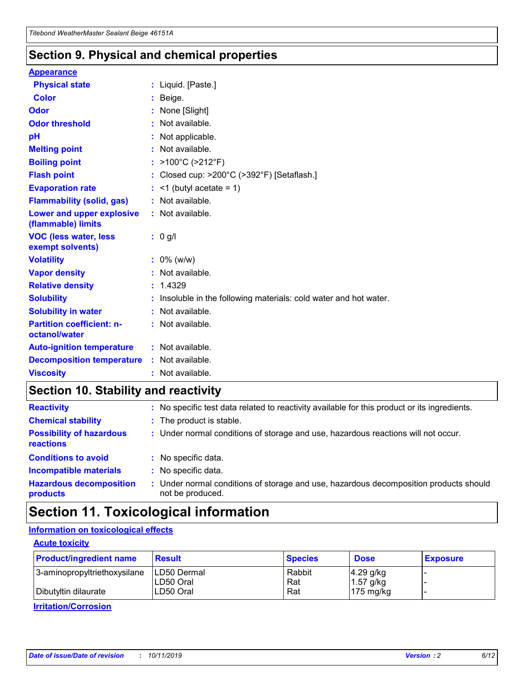### **Section 9. Physical and chemical properties**

#### **Appearance**

| <b>Physical state</b>                                  | : Liquid. [Paste.]                                              |
|--------------------------------------------------------|-----------------------------------------------------------------|
| <b>Color</b>                                           | Beige.                                                          |
| Odor                                                   | None [Slight]                                                   |
| <b>Odor threshold</b>                                  | $:$ Not available.                                              |
| рH                                                     | : Not applicable.                                               |
| <b>Melting point</b>                                   | : Not available.                                                |
| <b>Boiling point</b>                                   | : >100°C (>212°F)                                               |
| <b>Flash point</b>                                     | : Closed cup: >200°C (>392°F) [Setaflash.]                      |
| <b>Evaporation rate</b>                                | $:$ <1 (butyl acetate = 1)                                      |
| <b>Flammability (solid, gas)</b>                       | : Not available.                                                |
| <b>Lower and upper explosive</b><br>(flammable) limits | : Not available.                                                |
| <b>VOC (less water, less</b><br>exempt solvents)       | $: 0$ g/l                                                       |
| <b>Volatility</b>                                      | $: 0\%$ (w/w)                                                   |
| <b>Vapor density</b>                                   | : Not available.                                                |
| <b>Relative density</b>                                | : 1.4329                                                        |
| <b>Solubility</b>                                      | Insoluble in the following materials: cold water and hot water. |
| <b>Solubility in water</b>                             | : Not available.                                                |
| <b>Partition coefficient: n-</b><br>octanol/water      | : Not available.                                                |
|                                                        |                                                                 |
| <b>Auto-ignition temperature</b>                       | : Not available.                                                |
| <b>Decomposition temperature</b>                       | : Not available.                                                |

### **Section 10. Stability and reactivity**

| <b>Reactivity</b>                            |    | : No specific test data related to reactivity available for this product or its ingredients.            |
|----------------------------------------------|----|---------------------------------------------------------------------------------------------------------|
| <b>Chemical stability</b>                    |    | : The product is stable.                                                                                |
| <b>Possibility of hazardous</b><br>reactions |    | : Under normal conditions of storage and use, hazardous reactions will not occur.                       |
| <b>Conditions to avoid</b>                   |    | : No specific data.                                                                                     |
| <b>Incompatible materials</b>                |    | : No specific data.                                                                                     |
| <b>Hazardous decomposition</b><br>products   | ÷. | Under normal conditions of storage and use, hazardous decomposition products should<br>not be produced. |

### **Section 11. Toxicological information**

### **Information on toxicological effects**

#### **Acute toxicity**

| <b>Product/ingredient name</b> | <b>Result</b>           | <b>Species</b> | <b>Dose</b>                | <b>Exposure</b> |
|--------------------------------|-------------------------|----------------|----------------------------|-----------------|
| 3-aminopropyltriethoxysilane   | <b>ILD50 Dermal</b>     | Rabbit         | 4.29 g/kg                  |                 |
| Dibutyltin dilaurate           | ILD50 Oral<br>LD50 Oral | Rat<br>Rat     | $1.57$ g/kg<br>175 $mg/kg$ |                 |
|                                |                         |                |                            |                 |

**Irritation/Corrosion**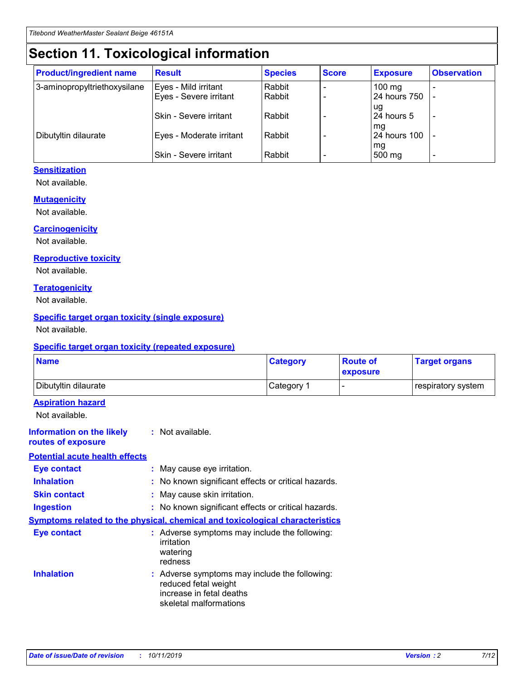## **Section 11. Toxicological information**

| <b>Product/ingredient name</b> | <b>Result</b>            | <b>Species</b> | <b>Score</b> | <b>Exposure</b>           | <b>Observation</b> |
|--------------------------------|--------------------------|----------------|--------------|---------------------------|--------------------|
| 3-aminopropyltriethoxysilane   | Eyes - Mild irritant     | Rabbit         |              | $100$ mg                  |                    |
|                                | Eyes - Severe irritant   | Rabbit         |              | 24 hours 750              |                    |
|                                |                          |                |              | ug                        |                    |
|                                | Skin - Severe irritant   | Rabbit         |              | 24 hours 5                | -                  |
| Dibutyltin dilaurate           | Eyes - Moderate irritant | Rabbit         |              | mg<br><b>24 hours 100</b> |                    |
|                                |                          |                |              | mg                        |                    |
|                                | Skin - Severe irritant   | Rabbit         |              | 500 mg                    | -                  |

### **Sensitization**

Not available.

#### **Mutagenicity**

Not available.

#### **Carcinogenicity**

Not available.

#### **Reproductive toxicity**

Not available.

#### **Teratogenicity**

Not available.

#### **Specific target organ toxicity (single exposure)**

Not available.

#### **Specific target organ toxicity (repeated exposure)**

| <b>Name</b>                                                                  |                                                                            | <b>Category</b>                                     | <b>Route of</b><br>exposure | <b>Target organs</b> |
|------------------------------------------------------------------------------|----------------------------------------------------------------------------|-----------------------------------------------------|-----------------------------|----------------------|
| Dibutyltin dilaurate                                                         |                                                                            | Category 1                                          | -                           | respiratory system   |
| <b>Aspiration hazard</b><br>Not available.                                   |                                                                            |                                                     |                             |                      |
| <b>Information on the likely</b><br>routes of exposure                       | : Not available.                                                           |                                                     |                             |                      |
| <b>Potential acute health effects</b>                                        |                                                                            |                                                     |                             |                      |
| <b>Eye contact</b>                                                           | : May cause eye irritation.                                                |                                                     |                             |                      |
| <b>Inhalation</b>                                                            |                                                                            | : No known significant effects or critical hazards. |                             |                      |
| <b>Skin contact</b>                                                          | : May cause skin irritation.                                               |                                                     |                             |                      |
| <b>Ingestion</b>                                                             |                                                                            | : No known significant effects or critical hazards. |                             |                      |
| Symptoms related to the physical, chemical and toxicological characteristics |                                                                            |                                                     |                             |                      |
| <b>Eye contact</b>                                                           | irritation<br>watering<br>redness                                          | : Adverse symptoms may include the following:       |                             |                      |
| <b>Inhalation</b>                                                            | reduced fetal weight<br>increase in fetal deaths<br>skeletal malformations | : Adverse symptoms may include the following:       |                             |                      |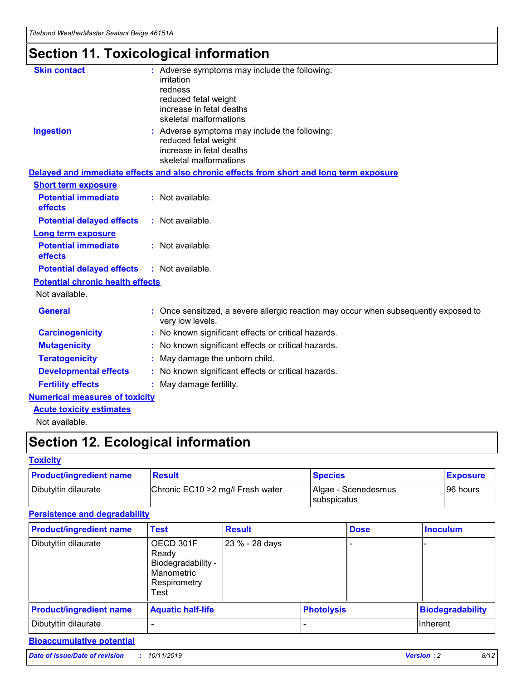## **Section 11. Toxicological information**

| <b>Skin contact</b>                     | : Adverse symptoms may include the following:                                                            |
|-----------------------------------------|----------------------------------------------------------------------------------------------------------|
|                                         | irritation                                                                                               |
|                                         | redness                                                                                                  |
|                                         | reduced fetal weight                                                                                     |
|                                         | increase in fetal deaths                                                                                 |
|                                         | skeletal malformations                                                                                   |
| <b>Ingestion</b>                        | : Adverse symptoms may include the following:                                                            |
|                                         | reduced fetal weight                                                                                     |
|                                         | increase in fetal deaths                                                                                 |
|                                         | skeletal malformations                                                                                   |
|                                         | Delayed and immediate effects and also chronic effects from short and long term exposure                 |
| <b>Short term exposure</b>              |                                                                                                          |
| <b>Potential immediate</b>              | : Not available.                                                                                         |
| effects                                 |                                                                                                          |
| <b>Potential delayed effects</b>        | : Not available.                                                                                         |
| Long term exposure                      |                                                                                                          |
| <b>Potential immediate</b>              | : Not available.                                                                                         |
| effects                                 |                                                                                                          |
| <b>Potential delayed effects</b>        | : Not available.                                                                                         |
| <b>Potential chronic health effects</b> |                                                                                                          |
| Not available.                          |                                                                                                          |
| <b>General</b>                          | : Once sensitized, a severe allergic reaction may occur when subsequently exposed to<br>very low levels. |
| <b>Carcinogenicity</b>                  | : No known significant effects or critical hazards.                                                      |
| <b>Mutagenicity</b>                     | : No known significant effects or critical hazards.                                                      |
| <b>Teratogenicity</b>                   | May damage the unborn child.                                                                             |
| <b>Developmental effects</b>            | : No known significant effects or critical hazards.                                                      |
| <b>Fertility effects</b>                | May damage fertility.                                                                                    |
| <b>Numerical measures of toxicity</b>   |                                                                                                          |
| <b>Acute toxicity estimates</b>         |                                                                                                          |
| الملحلة والمستحيط والمسالم              |                                                                                                          |

Not available.

## **Section 12. Ecological information**

#### **Toxicity**

| <b>Product/ingredient name</b> | <b>Result</b>                     | <b>Species</b>                              | <b>Exposure</b> |
|--------------------------------|-----------------------------------|---------------------------------------------|-----------------|
| Dibutyltin dilaurate           | Chronic EC10 > 2 mg/l Fresh water | Algae - Scenedesmus<br><b>I</b> subspicatus | l 96 hours i    |

### **Persistence and degradability**

| <b>Product/ingredient name</b> | <b>Test</b>                                                                    | <b>Result</b>  |                   | <b>Dose</b> | <b>Inoculum</b>         |
|--------------------------------|--------------------------------------------------------------------------------|----------------|-------------------|-------------|-------------------------|
| Dibutyltin dilaurate           | OECD 301F<br>Ready<br>Biodegradability -<br>Manometric<br>Respirometry<br>Test | 23 % - 28 days |                   |             |                         |
| <b>Product/ingredient name</b> | <b>Aquatic half-life</b>                                                       |                | <b>Photolysis</b> |             | <b>Biodegradability</b> |
| Dibutyltin dilaurate           |                                                                                |                |                   |             | Inherent                |

### **Bioaccumulative potential**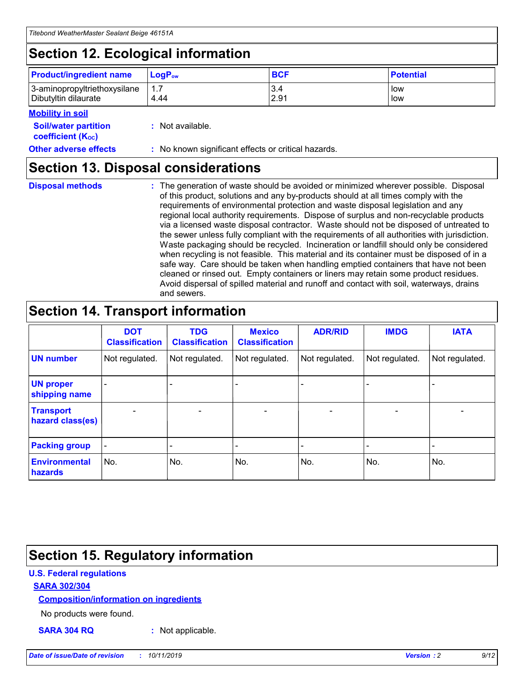## **Section 12. Ecological information**

| <b>Product/ingredient name</b> | $LoaPow$ | <b>BCF</b> | <b>Potential</b> |
|--------------------------------|----------|------------|------------------|
| 3-aminopropyltriethoxysilane   | 1.7      | 3.4        | low              |
| Dibutyltin dilaurate           | 4.44     | 2.91       | low              |

#### **Mobility in soil**

| <i></i>                                                       |                                                     |
|---------------------------------------------------------------|-----------------------------------------------------|
| <b>Soil/water partition</b><br>coefficient (K <sub>oc</sub> ) | : Not available.                                    |
| <b>Other adverse effects</b>                                  | : No known significant effects or critical hazards. |

### **Section 13. Disposal considerations**

**Disposal methods :**

The generation of waste should be avoided or minimized wherever possible. Disposal of this product, solutions and any by-products should at all times comply with the requirements of environmental protection and waste disposal legislation and any regional local authority requirements. Dispose of surplus and non-recyclable products via a licensed waste disposal contractor. Waste should not be disposed of untreated to the sewer unless fully compliant with the requirements of all authorities with jurisdiction. Waste packaging should be recycled. Incineration or landfill should only be considered when recycling is not feasible. This material and its container must be disposed of in a safe way. Care should be taken when handling emptied containers that have not been cleaned or rinsed out. Empty containers or liners may retain some product residues. Avoid dispersal of spilled material and runoff and contact with soil, waterways, drains and sewers.

## **Section 14. Transport information**

|                                      | <b>DOT</b><br><b>Classification</b> | <b>TDG</b><br><b>Classification</b> | <b>Mexico</b><br><b>Classification</b> | <b>ADR/RID</b>               | <b>IMDG</b>    | <b>IATA</b>    |
|--------------------------------------|-------------------------------------|-------------------------------------|----------------------------------------|------------------------------|----------------|----------------|
| <b>UN number</b>                     | Not regulated.                      | Not regulated.                      | Not regulated.                         | Not regulated.               | Not regulated. | Not regulated. |
| <b>UN proper</b><br>shipping name    |                                     |                                     |                                        |                              |                |                |
| <b>Transport</b><br>hazard class(es) | $\blacksquare$                      | $\overline{\phantom{0}}$            | $\overline{\phantom{a}}$               | $\qquad \qquad \blacksquare$ | $\blacksquare$ | $\blacksquare$ |
| <b>Packing group</b>                 | $\overline{\phantom{a}}$            | -                                   |                                        | -                            |                | -              |
| <b>Environmental</b><br>hazards      | No.                                 | No.                                 | No.                                    | No.                          | No.            | No.            |

## **Section 15. Regulatory information**

#### **U.S. Federal regulations**

#### **SARA 302/304**

#### **Composition/information on ingredients**

No products were found.

**SARA 304 RQ :** Not applicable.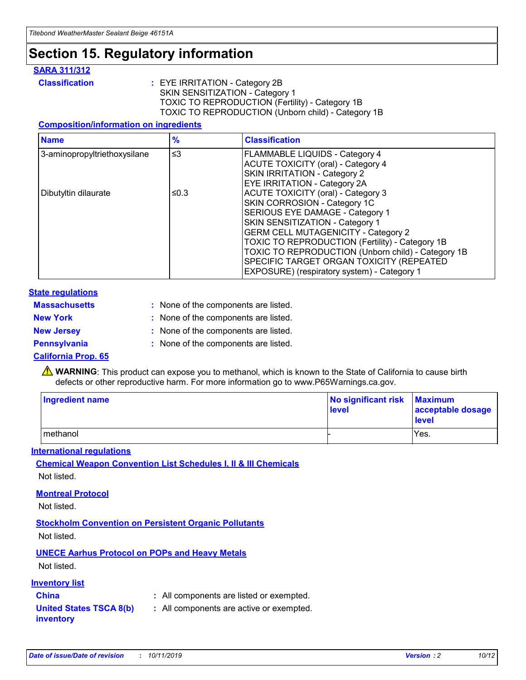## **Section 15. Regulatory information**

#### **SARA 311/312**

**Classification :** EYE IRRITATION - Category 2B SKIN SENSITIZATION - Category 1 TOXIC TO REPRODUCTION (Fertility) - Category 1B TOXIC TO REPRODUCTION (Unborn child) - Category 1B

#### **Composition/information on ingredients**

| <b>Name</b>                  | $\frac{9}{6}$ | <b>Classification</b>                                  |
|------------------------------|---------------|--------------------------------------------------------|
| 3-aminopropyltriethoxysilane | $\leq$ 3      | <b>FLAMMABLE LIQUIDS - Category 4</b>                  |
|                              |               | <b>ACUTE TOXICITY (oral) - Category 4</b>              |
|                              |               | SKIN IRRITATION - Category 2                           |
|                              |               | EYE IRRITATION - Category 2A                           |
| Dibutyltin dilaurate         | ≤0.3          | <b>ACUTE TOXICITY (oral) - Category 3</b>              |
|                              |               | SKIN CORROSION - Category 1C                           |
|                              |               | SERIOUS EYE DAMAGE - Category 1                        |
|                              |               | SKIN SENSITIZATION - Category 1                        |
|                              |               | <b>GERM CELL MUTAGENICITY - Category 2</b>             |
|                              |               | <b>TOXIC TO REPRODUCTION (Fertility) - Category 1B</b> |
|                              |               | TOXIC TO REPRODUCTION (Unborn child) - Category 1B     |
|                              |               | SPECIFIC TARGET ORGAN TOXICITY (REPEATED               |
|                              |               | EXPOSURE) (respiratory system) - Category 1            |

#### **State regulations**

| <b>Massachusetts</b> | : None of the components are listed. |
|----------------------|--------------------------------------|
| <b>New York</b>      | : None of the components are listed. |
| <b>New Jersey</b>    | : None of the components are listed. |
| <b>Pennsylvania</b>  | : None of the components are listed. |

#### **California Prop. 65**

**A** WARNING: This product can expose you to methanol, which is known to the State of California to cause birth defects or other reproductive harm. For more information go to www.P65Warnings.ca.gov.

| <b>Ingredient name</b> | No significant risk Maximum<br>level | acceptable dosage<br>level |
|------------------------|--------------------------------------|----------------------------|
| methanol               |                                      | Yes.                       |

#### **International regulations**

**Chemical Weapon Convention List Schedules I, II & III Chemicals** Not listed.

#### **Montreal Protocol**

Not listed.

#### **Stockholm Convention on Persistent Organic Pollutants**

Not listed.

### **UNECE Aarhus Protocol on POPs and Heavy Metals**

Not listed.

#### **Inventory list**

### **China :** All components are listed or exempted.

#### **United States TSCA 8(b) inventory :** All components are active or exempted.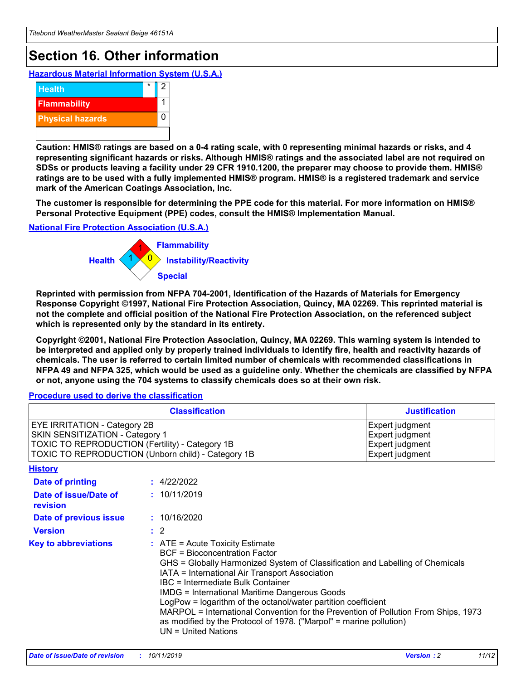## **Section 16. Other information**

**Hazardous Material Information System (U.S.A.)**



**Caution: HMIS® ratings are based on a 0-4 rating scale, with 0 representing minimal hazards or risks, and 4 representing significant hazards or risks. Although HMIS® ratings and the associated label are not required on SDSs or products leaving a facility under 29 CFR 1910.1200, the preparer may choose to provide them. HMIS® ratings are to be used with a fully implemented HMIS® program. HMIS® is a registered trademark and service mark of the American Coatings Association, Inc.**

**The customer is responsible for determining the PPE code for this material. For more information on HMIS® Personal Protective Equipment (PPE) codes, consult the HMIS® Implementation Manual.**

#### **National Fire Protection Association (U.S.A.)**



**Reprinted with permission from NFPA 704-2001, Identification of the Hazards of Materials for Emergency Response Copyright ©1997, National Fire Protection Association, Quincy, MA 02269. This reprinted material is not the complete and official position of the National Fire Protection Association, on the referenced subject which is represented only by the standard in its entirety.**

**Copyright ©2001, National Fire Protection Association, Quincy, MA 02269. This warning system is intended to be interpreted and applied only by properly trained individuals to identify fire, health and reactivity hazards of chemicals. The user is referred to certain limited number of chemicals with recommended classifications in NFPA 49 and NFPA 325, which would be used as a guideline only. Whether the chemicals are classified by NFPA or not, anyone using the 704 systems to classify chemicals does so at their own risk.**

**Procedure used to derive the classification**

| <b>Classification</b>                                                                                                                                                    |                                                                                                                                                  | <b>Justification</b>                                                                                                                                                                                                                                                                                                                                                                                                 |  |
|--------------------------------------------------------------------------------------------------------------------------------------------------------------------------|--------------------------------------------------------------------------------------------------------------------------------------------------|----------------------------------------------------------------------------------------------------------------------------------------------------------------------------------------------------------------------------------------------------------------------------------------------------------------------------------------------------------------------------------------------------------------------|--|
| EYE IRRITATION - Category 2B<br>SKIN SENSITIZATION - Category 1<br>TOXIC TO REPRODUCTION (Fertility) - Category 1B<br>TOXIC TO REPRODUCTION (Unborn child) - Category 1B |                                                                                                                                                  | Expert judgment<br>Expert judgment<br>Expert judgment<br>Expert judgment                                                                                                                                                                                                                                                                                                                                             |  |
| <b>History</b>                                                                                                                                                           |                                                                                                                                                  |                                                                                                                                                                                                                                                                                                                                                                                                                      |  |
| Date of printing                                                                                                                                                         | : 4/22/2022                                                                                                                                      |                                                                                                                                                                                                                                                                                                                                                                                                                      |  |
| Date of issue/Date of<br>revision                                                                                                                                        | : 10/11/2019                                                                                                                                     |                                                                                                                                                                                                                                                                                                                                                                                                                      |  |
| Date of previous issue                                                                                                                                                   | : 10/16/2020                                                                                                                                     |                                                                                                                                                                                                                                                                                                                                                                                                                      |  |
| <b>Version</b>                                                                                                                                                           | $\therefore$ 2                                                                                                                                   |                                                                                                                                                                                                                                                                                                                                                                                                                      |  |
| <b>Key to abbreviations</b>                                                                                                                                              | $\therefore$ ATE = Acute Toxicity Estimate<br><b>BCF</b> = Bioconcentration Factor<br>IBC = Intermediate Bulk Container<br>$UN = United Nations$ | GHS = Globally Harmonized System of Classification and Labelling of Chemicals<br>IATA = International Air Transport Association<br><b>IMDG = International Maritime Dangerous Goods</b><br>LogPow = logarithm of the octanol/water partition coefficient<br>MARPOL = International Convention for the Prevention of Pollution From Ships, 1973<br>as modified by the Protocol of 1978. ("Marpol" = marine pollution) |  |